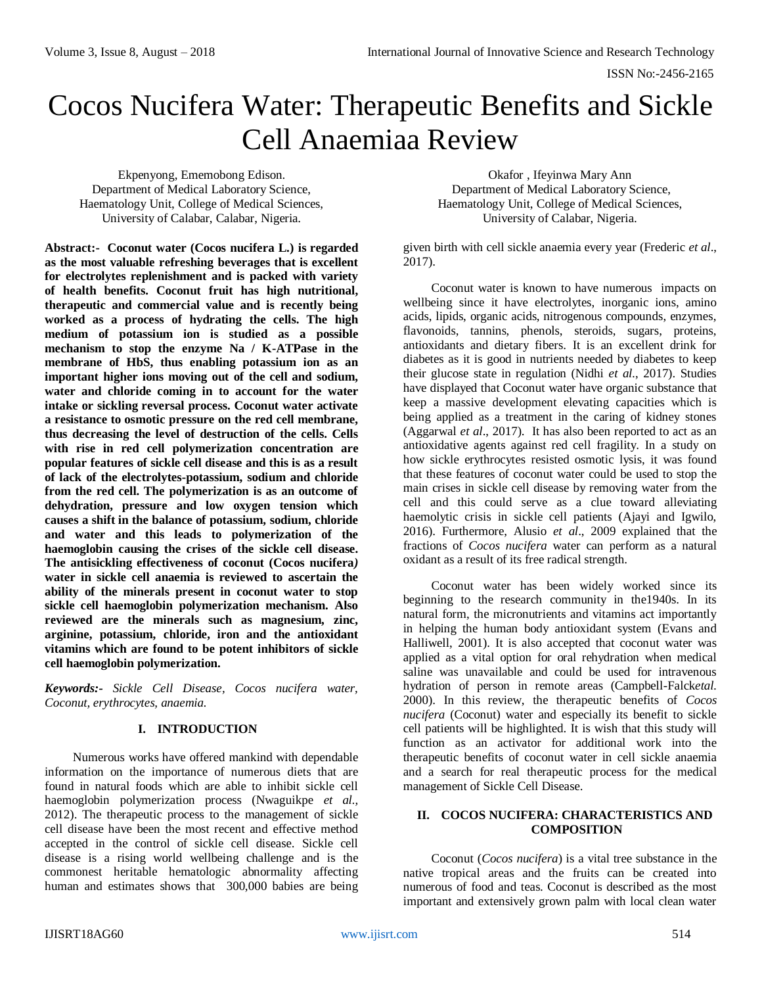# Cocos Nucifera Water: Therapeutic Benefits and Sickle Cell Anaemiaa Review

Ekpenyong, Ememobong Edison. Department of Medical Laboratory Science, Haematology Unit, College of Medical Sciences, University of Calabar, Calabar, Nigeria.

**Abstract:- Coconut water (Cocos nucifera L.) is regarded as the most valuable refreshing beverages that is excellent for electrolytes replenishment and is packed with variety of health benefits. Coconut fruit has high nutritional, therapeutic and commercial value and is recently being worked as a process of hydrating the cells. The high medium of potassium ion is studied as a possible mechanism to stop the enzyme Na / K-ATPase in the membrane of HbS, thus enabling potassium ion as an important higher ions moving out of the cell and sodium, water and chloride coming in to account for the water intake or sickling reversal process. Coconut water activate a resistance to osmotic pressure on the red cell membrane, thus decreasing the level of destruction of the cells. Cells with rise in red cell polymerization concentration are popular features of sickle cell disease and this is as a result of lack of the electrolytes-potassium, sodium and chloride from the red cell. The polymerization is as an outcome of dehydration, pressure and low oxygen tension which causes a shift in the balance of potassium, sodium, chloride and water and this leads to polymerization of the haemoglobin causing the crises of the sickle cell disease. The antisickling effectiveness of coconut (Cocos nucifera***)* **water in sickle cell anaemia is reviewed to ascertain the ability of the minerals present in coconut water to stop sickle cell haemoglobin polymerization mechanism. Also reviewed are the minerals such as magnesium, zinc, arginine, potassium, chloride, iron and the antioxidant vitamins which are found to be potent inhibitors of sickle cell haemoglobin polymerization.** 

*Keywords:- Sickle Cell Disease, Cocos nucifera water, Coconut, erythrocytes, anaemia.*

## **I. INTRODUCTION**

Numerous works have offered mankind with dependable information on the importance of numerous diets that are found in natural foods which are able to inhibit sickle cell haemoglobin polymerization process (Nwaguikpe *et al.,* 2012). The therapeutic process to the management of sickle cell disease have been the most recent and effective method accepted in the control of sickle cell disease. Sickle cell disease is a rising world wellbeing challenge and is the commonest heritable hematologic abnormality affecting human and estimates shows that 300,000 babies are being

Okafor , Ifeyinwa Mary Ann Department of Medical Laboratory Science, Haematology Unit, College of Medical Sciences, University of Calabar, Nigeria.

given birth with cell sickle anaemia every year (Frederic *et al*., 2017).

Coconut water is known to have numerous impacts on wellbeing since it have electrolytes, inorganic ions, amino acids, lipids, organic acids, nitrogenous compounds, enzymes, flavonoids, tannins, phenols, steroids, sugars, proteins, antioxidants and dietary fibers. It is an excellent drink for diabetes as it is good in nutrients needed by diabetes to keep their glucose state in regulation (Nidhi *et al.*, 2017). Studies have displayed that Coconut water have organic substance that keep a massive development elevating capacities which is being applied as a treatment in the caring of kidney stones (Aggarwal *et al*., 2017). It has also been reported to act as an antioxidative agents against red cell fragility. In a study on how sickle erythrocytes resisted osmotic lysis, it was found that these features of coconut water could be used to stop the main crises in sickle cell disease by removing water from the cell and this could serve as a clue toward alleviating haemolytic crisis in sickle cell patients (Ajayi and Igwilo, 2016). Furthermore, Alusio *et al*., 2009 explained that the fractions of *Cocos nucifera* water can perform as a natural oxidant as a result of its free radical strength.

Coconut water has been widely worked since its beginning to the research community in the1940s. In its natural form, the micronutrients and vitamins act importantly in helping the human body antioxidant system (Evans and Halliwell, 2001). It is also accepted that coconut water was applied as a vital option for oral rehydration when medical saline was unavailable and could be used for intravenous hydration of person in remote areas (Campbell-Falck*etal.*  2000). In this review, the therapeutic benefits of *Cocos nucifera* (Coconut) water and especially its benefit to sickle cell patients will be highlighted. It is wish that this study will function as an activator for additional work into the therapeutic benefits of coconut water in cell sickle anaemia and a search for real therapeutic process for the medical management of Sickle Cell Disease.

## **II. COCOS NUCIFERA: CHARACTERISTICS AND COMPOSITION**

Coconut (*Cocos nucifera*) is a vital tree substance in the native tropical areas and the fruits can be created into numerous of food and teas. Coconut is described as the most important and extensively grown palm with local clean water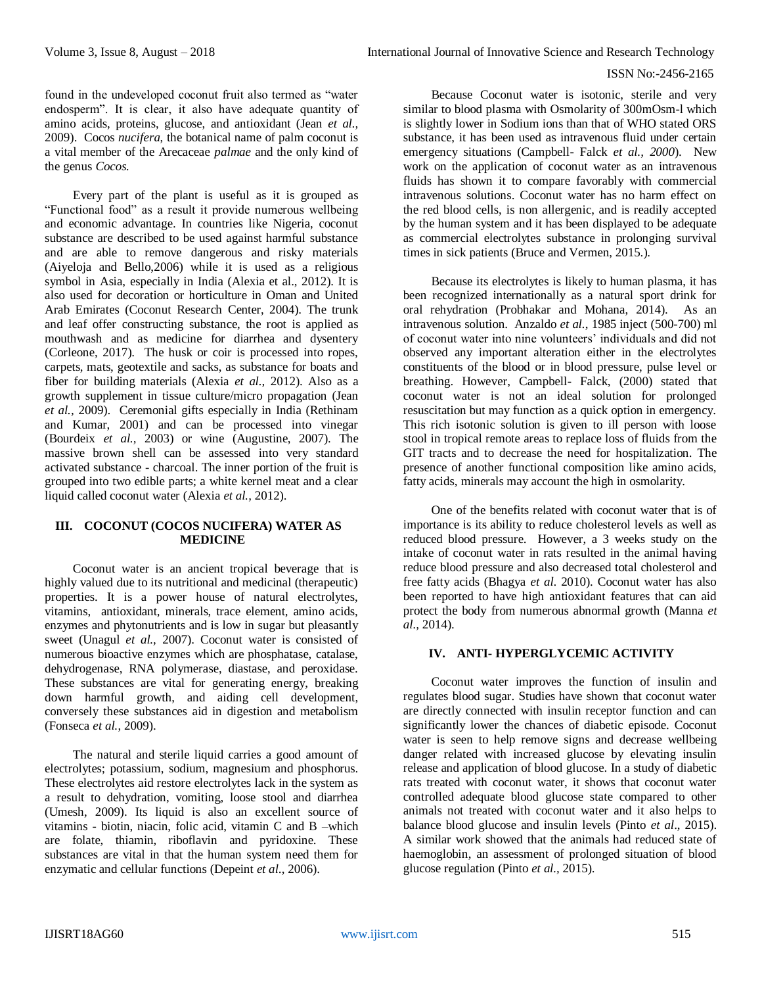found in the undeveloped coconut fruit also termed as "water endosperm". It is clear, it also have adequate quantity of amino acids, proteins, glucose, and antioxidant (Jean *et al.,*  2009). Cocos *nucifera*, the botanical name of palm coconut is a vital member of the Arecaceae *palmae* and the only kind of the genus *Cocos.* 

Every part of the plant is useful as it is grouped as "Functional food" as a result it provide numerous wellbeing and economic advantage. In countries like Nigeria, coconut substance are described to be used against harmful substance and are able to remove dangerous and risky materials (Aiyeloja and Bello,2006) while it is used as a religious symbol in Asia, especially in India (Alexia et al., 2012). It is also used for decoration or horticulture in Oman and United Arab Emirates (Coconut Research Center, 2004). The trunk and leaf offer constructing substance, the root is applied as mouthwash and as medicine for diarrhea and dysentery (Corleone, 2017). The husk or coir is processed into ropes, carpets, mats, geotextile and sacks, as substance for boats and fiber for building materials (Alexia *et al.,* 2012). Also as a growth supplement in tissue culture/micro propagation (Jean *et al.,* 2009). Ceremonial gifts especially in India (Rethinam and Kumar, 2001) and can be processed into vinegar (Bourdeix *et al.,* 2003) or wine (Augustine, 2007). The massive brown shell can be assessed into very standard activated substance - charcoal. The inner portion of the fruit is grouped into two edible parts; a white kernel meat and a clear liquid called coconut water (Alexia *et al.,* 2012).

## **III. COCONUT (COCOS NUCIFERA) WATER AS MEDICINE**

Coconut water is an ancient tropical beverage that is highly valued due to its nutritional and medicinal (therapeutic) properties. It is a power house of natural electrolytes, vitamins, antioxidant, minerals, trace element, amino acids, enzymes and phytonutrients and is low in sugar but pleasantly sweet (Unagul *et al.,* 2007). Coconut water is consisted of numerous bioactive enzymes which are phosphatase, catalase, dehydrogenase, RNA polymerase, diastase, and peroxidase. These substances are vital for generating energy, breaking down harmful growth, and aiding cell development, conversely these substances aid in digestion and metabolism (Fonseca *et al.*, 2009).

The natural and sterile liquid carries a good amount of electrolytes; potassium, sodium, magnesium and phosphorus. These electrolytes aid restore electrolytes lack in the system as a result to dehydration, vomiting, loose stool and diarrhea (Umesh, 2009). Its liquid is also an excellent source of vitamins - biotin, niacin, folic acid, vitamin C and B –which are folate, thiamin, riboflavin and pyridoxine. These substances are vital in that the human system need them for enzymatic and cellular functions (Depeint *et al*., 2006).

Because Coconut water is isotonic, sterile and very similar to blood plasma with Osmolarity of 300mOsm-l which is slightly lower in Sodium ions than that of WHO stated ORS substance, it has been used as intravenous fluid under certain emergency situations (Campbell- Falck *et al., 2000*). New work on the application of coconut water as an intravenous fluids has shown it to compare favorably with commercial intravenous solutions. Coconut water has no harm effect on the red blood cells, is non allergenic, and is readily accepted by the human system and it has been displayed to be adequate as commercial electrolytes substance in prolonging survival times in sick patients (Bruce and Vermen, 2015.).

Because its electrolytes is likely to human plasma, it has been recognized internationally as a natural sport drink for oral rehydration (Probhakar and Mohana, 2014). As an intravenous solution. Anzaldo *et al.*, 1985 inject (500-700) ml of coconut water into nine volunteers' individuals and did not observed any important alteration either in the electrolytes constituents of the blood or in blood pressure, pulse level or breathing. However, Campbell- Falck, (2000) stated that coconut water is not an ideal solution for prolonged resuscitation but may function as a quick option in emergency. This rich isotonic solution is given to ill person with loose stool in tropical remote areas to replace loss of fluids from the GIT tracts and to decrease the need for hospitalization. The presence of another functional composition like amino acids, fatty acids, minerals may account the high in osmolarity.

One of the benefits related with coconut water that is of importance is its ability to reduce cholesterol levels as well as reduced blood pressure. However, a 3 weeks study on the intake of coconut water in rats resulted in the animal having reduce blood pressure and also decreased total cholesterol and free fatty acids (Bhagya *et al*. 2010). Coconut water has also been reported to have high antioxidant features that can aid protect the body from numerous abnormal growth (Manna *et al.,* 2014).

# **IV. ANTI- HYPERGLYCEMIC ACTIVITY**

Coconut water improves the function of insulin and regulates blood sugar. Studies have shown that coconut water are directly connected with insulin receptor function and can significantly lower the chances of diabetic episode. Coconut water is seen to help remove signs and decrease wellbeing danger related with increased glucose by elevating insulin release and application of blood glucose. In a study of diabetic rats treated with coconut water, it shows that coconut water controlled adequate blood glucose state compared to other animals not treated with coconut water and it also helps to balance blood glucose and insulin levels (Pinto *et al*., 2015). A similar work showed that the animals had reduced state of haemoglobin, an assessment of prolonged situation of blood glucose regulation (Pinto *et al.,* 2015).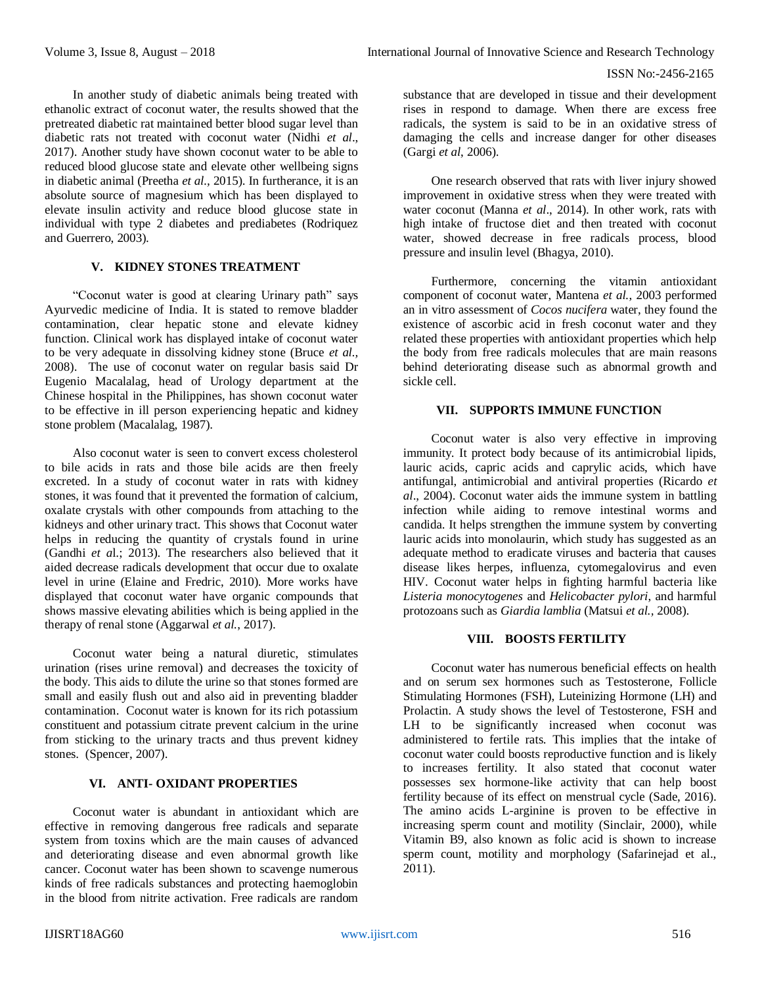In another study of diabetic animals being treated with ethanolic extract of coconut water, the results showed that the pretreated diabetic rat maintained better blood sugar level than diabetic rats not treated with coconut water (Nidhi *et al*., 2017). Another study have shown coconut water to be able to reduced blood glucose state and elevate other wellbeing signs in diabetic animal (Preetha *et al.,* 2015). In furtherance, it is an absolute source of magnesium which has been displayed to elevate insulin activity and reduce blood glucose state in individual with type 2 diabetes and prediabetes (Rodriquez and Guerrero, 2003).

# **V. KIDNEY STONES TREATMENT**

"Coconut water is good at clearing Urinary path" says Ayurvedic medicine of India. It is stated to remove bladder contamination, clear hepatic stone and elevate kidney function. Clinical work has displayed intake of coconut water to be very adequate in dissolving kidney stone (Bruce *et al.,*  2008). The use of coconut water on regular basis said Dr Eugenio Macalalag, head of Urology department at the Chinese hospital in the Philippines, has shown coconut water to be effective in ill person experiencing hepatic and kidney stone problem (Macalalag, 1987).

Also coconut water is seen to convert excess cholesterol to bile acids in rats and those bile acids are then freely excreted. In a study of coconut water in rats with kidney stones, it was found that it prevented the formation of calcium, oxalate crystals with other compounds from attaching to the kidneys and other urinary tract. This shows that Coconut water helps in reducing the quantity of crystals found in urine (Gandhi *et a*l.; 2013). The researchers also believed that it aided decrease radicals development that occur due to oxalate level in urine (Elaine and Fredric, 2010). More works have displayed that coconut water have organic compounds that shows massive elevating abilities which is being applied in the therapy of renal stone (Aggarwal *et al.*, 2017).

Coconut water being a natural diuretic, stimulates urination (rises urine removal) and decreases the toxicity of the body. This aids to dilute the urine so that stones formed are small and easily flush out and also aid in preventing bladder contamination. Coconut water is known for its rich potassium constituent and potassium citrate prevent calcium in the urine from sticking to the urinary tracts and thus prevent kidney stones. (Spencer, 2007).

## **VI. ANTI- OXIDANT PROPERTIES**

Coconut water is abundant in antioxidant which are effective in removing dangerous free radicals and separate system from toxins which are the main causes of advanced and deteriorating disease and even abnormal growth like cancer. Coconut water has been shown to scavenge numerous kinds of free radicals substances and protecting haemoglobin in the blood from nitrite activation. Free radicals are random

substance that are developed in tissue and their development rises in respond to damage. When there are excess free radicals, the system is said to be in an oxidative stress of damaging the cells and increase danger for other diseases (Gargi *et al*, 2006).

One research observed that rats with liver injury showed improvement in oxidative stress when they were treated with water coconut (Manna *et al*., 2014). In other work, rats with high intake of fructose diet and then treated with coconut water, showed decrease in free radicals process, blood pressure and insulin level (Bhagya, 2010).

Furthermore, concerning the vitamin antioxidant component of coconut water, Mantena *et al.*, 2003 performed an in vitro assessment of *Cocos nucifera* water, they found the existence of ascorbic acid in fresh coconut water and they related these properties with antioxidant properties which help the body from free radicals molecules that are main reasons behind deteriorating disease such as abnormal growth and sickle cell.

#### **VII. SUPPORTS IMMUNE FUNCTION**

Coconut water is also very effective in improving immunity. It protect body because of its antimicrobial lipids, lauric acids, capric acids and caprylic acids, which have antifungal, antimicrobial and antiviral properties (Ricardo *et al*., 2004). Coconut water aids the immune system in battling infection while aiding to remove intestinal worms and candida. It helps strengthen the immune system by converting lauric acids into monolaurin, which study has suggested as an adequate method to eradicate viruses and bacteria that causes disease likes herpes, influenza, cytomegalovirus and even HIV. Coconut water helps in fighting harmful bacteria like *Listeria monocytogenes* and *Helicobacter pylori*, and harmful protozoans such as *Giardia lamblia* (Matsui *et al.,* 2008).

#### **VIII. BOOSTS FERTILITY**

Coconut water has numerous beneficial effects on health and on serum sex hormones such as Testosterone, Follicle Stimulating Hormones (FSH), Luteinizing Hormone (LH) and Prolactin. A study shows the level of Testosterone, FSH and LH to be significantly increased when coconut was administered to fertile rats. This implies that the intake of coconut water could boosts reproductive function and is likely to increases fertility. It also stated that coconut water possesses sex hormone-like activity that can help boost fertility because of its effect on menstrual cycle (Sade, 2016). The amino acids L-arginine is proven to be effective in increasing sperm count and motility (Sinclair, 2000), while Vitamin B9, also known as folic acid is shown to increase sperm count, motility and morphology (Safarinejad et al., 2011).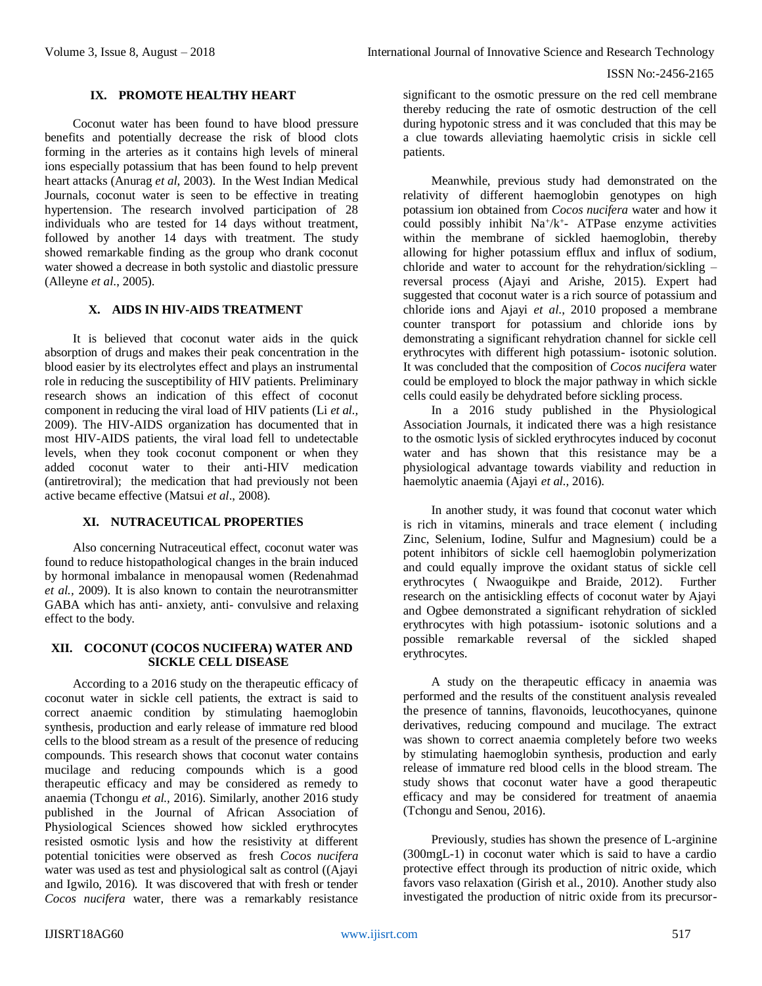## **IX. PROMOTE HEALTHY HEART**

Coconut water has been found to have blood pressure benefits and potentially decrease the risk of blood clots forming in the arteries as it contains high levels of mineral ions especially potassium that has been found to help prevent heart attacks (Anurag *et al*, 2003). In the West Indian Medical Journals, coconut water is seen to be effective in treating hypertension. The research involved participation of 28 individuals who are tested for 14 days without treatment, followed by another 14 days with treatment. The study showed remarkable finding as the group who drank coconut water showed a decrease in both systolic and diastolic pressure (Alleyne *et al*., 2005).

## **X. AIDS IN HIV-AIDS TREATMENT**

It is believed that coconut water aids in the quick absorption of drugs and makes their peak concentration in the blood easier by its electrolytes effect and plays an instrumental role in reducing the susceptibility of HIV patients. Preliminary research shows an indication of this effect of coconut component in reducing the viral load of HIV patients (Li *et al.,* 2009). The HIV-AIDS organization has documented that in most HIV-AIDS patients, the viral load fell to undetectable levels, when they took coconut component or when they added coconut water to their anti-HIV medication (antiretroviral); the medication that had previously not been active became effective (Matsui *et al*., 2008).

### **XI. NUTRACEUTICAL PROPERTIES**

Also concerning Nutraceutical effect, coconut water was found to reduce histopathological changes in the brain induced by hormonal imbalance in menopausal women (Redenahmad *et al.,* 2009). It is also known to contain the neurotransmitter GABA which has anti- anxiety, anti- convulsive and relaxing effect to the body.

#### **XII. COCONUT (COCOS NUCIFERA) WATER AND SICKLE CELL DISEASE**

According to a 2016 study on the therapeutic efficacy of coconut water in sickle cell patients, the extract is said to correct anaemic condition by stimulating haemoglobin synthesis, production and early release of immature red blood cells to the blood stream as a result of the presence of reducing compounds. This research shows that coconut water contains mucilage and reducing compounds which is a good therapeutic efficacy and may be considered as remedy to anaemia (Tchongu *et al.,* 2016). Similarly, another 2016 study published in the Journal of African Association of Physiological Sciences showed how sickled erythrocytes resisted osmotic lysis and how the resistivity at different potential tonicities were observed as fresh *Cocos nucifera* water was used as test and physiological salt as control ((Ajayi and Igwilo, 2016). It was discovered that with fresh or tender *Cocos nucifera* water, there was a remarkably resistance

significant to the osmotic pressure on the red cell membrane thereby reducing the rate of osmotic destruction of the cell during hypotonic stress and it was concluded that this may be a clue towards alleviating haemolytic crisis in sickle cell patients.

Meanwhile, previous study had demonstrated on the relativity of different haemoglobin genotypes on high potassium ion obtained from *Cocos nucifera* water and how it could possibly inhibit Na<sup>+</sup>/k<sup>+</sup>- ATPase enzyme activities within the membrane of sickled haemoglobin, thereby allowing for higher potassium efflux and influx of sodium, chloride and water to account for the rehydration/sickling – reversal process (Ajayi and Arishe, 2015). Expert had suggested that coconut water is a rich source of potassium and chloride ions and Ajayi *et al*., 2010 proposed a membrane counter transport for potassium and chloride ions by demonstrating a significant rehydration channel for sickle cell erythrocytes with different high potassium- isotonic solution. It was concluded that the composition of *Cocos nucifera* water could be employed to block the major pathway in which sickle cells could easily be dehydrated before sickling process.

In a 2016 study published in the Physiological Association Journals, it indicated there was a high resistance to the osmotic lysis of sickled erythrocytes induced by coconut water and has shown that this resistance may be a physiological advantage towards viability and reduction in haemolytic anaemia (Ajayi *et al.,* 2016).

In another study, it was found that coconut water which is rich in vitamins, minerals and trace element ( including Zinc, Selenium, Iodine, Sulfur and Magnesium) could be a potent inhibitors of sickle cell haemoglobin polymerization and could equally improve the oxidant status of sickle cell erythrocytes ( Nwaoguikpe and Braide, 2012). Further research on the antisickling effects of coconut water by Ajayi and Ogbee demonstrated a significant rehydration of sickled erythrocytes with high potassium- isotonic solutions and a possible remarkable reversal of the sickled shaped erythrocytes.

A study on the therapeutic efficacy in anaemia was performed and the results of the constituent analysis revealed the presence of tannins, flavonoids, leucothocyanes, quinone derivatives, reducing compound and mucilage. The extract was shown to correct anaemia completely before two weeks by stimulating haemoglobin synthesis, production and early release of immature red blood cells in the blood stream. The study shows that coconut water have a good therapeutic efficacy and may be considered for treatment of anaemia (Tchongu and Senou, 2016).

Previously, studies has shown the presence of L-arginine (300mgL-1) in coconut water which is said to have a cardio protective effect through its production of nitric oxide, which favors vaso relaxation (Girish et al., 2010). Another study also investigated the production of nitric oxide from its precursor-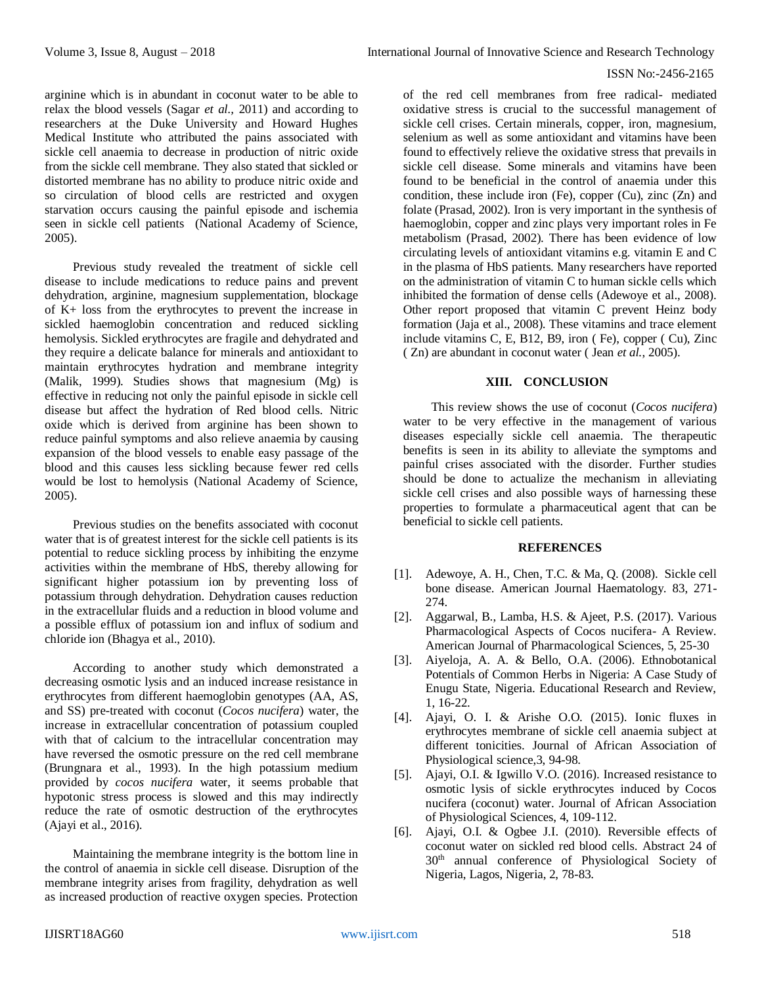arginine which is in abundant in coconut water to be able to relax the blood vessels (Sagar *et al.,* 2011) and according to researchers at the Duke University and Howard Hughes Medical Institute who attributed the pains associated with sickle cell anaemia to decrease in production of nitric oxide from the sickle cell membrane. They also stated that sickled or distorted membrane has no ability to produce nitric oxide and so circulation of blood cells are restricted and oxygen starvation occurs causing the painful episode and ischemia seen in sickle cell patients (National Academy of Science, 2005).

Previous study revealed the treatment of sickle cell disease to include medications to reduce pains and prevent dehydration, arginine, magnesium supplementation, blockage of K+ loss from the erythrocytes to prevent the increase in sickled haemoglobin concentration and reduced sickling hemolysis. Sickled erythrocytes are fragile and dehydrated and they require a delicate balance for minerals and antioxidant to maintain erythrocytes hydration and membrane integrity (Malik, 1999). Studies shows that magnesium (Mg) is effective in reducing not only the painful episode in sickle cell disease but affect the hydration of Red blood cells. Nitric oxide which is derived from arginine has been shown to reduce painful symptoms and also relieve anaemia by causing expansion of the blood vessels to enable easy passage of the blood and this causes less sickling because fewer red cells would be lost to hemolysis (National Academy of Science, 2005).

Previous studies on the benefits associated with coconut water that is of greatest interest for the sickle cell patients is its potential to reduce sickling process by inhibiting the enzyme activities within the membrane of HbS, thereby allowing for significant higher potassium ion by preventing loss of potassium through dehydration. Dehydration causes reduction in the extracellular fluids and a reduction in blood volume and a possible efflux of potassium ion and influx of sodium and chloride ion (Bhagya et al., 2010).

According to another study which demonstrated a decreasing osmotic lysis and an induced increase resistance in erythrocytes from different haemoglobin genotypes (AA, AS, and SS) pre-treated with coconut (*Cocos nucifera*) water, the increase in extracellular concentration of potassium coupled with that of calcium to the intracellular concentration may have reversed the osmotic pressure on the red cell membrane (Brungnara et al., 1993). In the high potassium medium provided by *cocos nucifera* water, it seems probable that hypotonic stress process is slowed and this may indirectly reduce the rate of osmotic destruction of the erythrocytes (Ajayi et al., 2016).

Maintaining the membrane integrity is the bottom line in the control of anaemia in sickle cell disease. Disruption of the membrane integrity arises from fragility, dehydration as well as increased production of reactive oxygen species. Protection

of the red cell membranes from free radical- mediated oxidative stress is crucial to the successful management of sickle cell crises. Certain minerals, copper, iron, magnesium, selenium as well as some antioxidant and vitamins have been found to effectively relieve the oxidative stress that prevails in sickle cell disease. Some minerals and vitamins have been found to be beneficial in the control of anaemia under this condition, these include iron (Fe), copper (Cu), zinc (Zn) and folate (Prasad, 2002). Iron is very important in the synthesis of haemoglobin, copper and zinc plays very important roles in Fe metabolism (Prasad, 2002). There has been evidence of low circulating levels of antioxidant vitamins e.g. vitamin E and C in the plasma of HbS patients. Many researchers have reported on the administration of vitamin C to human sickle cells which inhibited the formation of dense cells (Adewoye et al., 2008). Other report proposed that vitamin C prevent Heinz body formation (Jaja et al., 2008). These vitamins and trace element include vitamins C, E, B12, B9, iron ( Fe), copper ( Cu), Zinc ( Zn) are abundant in coconut water ( Jean *et al.*, 2005).

# **XIII. CONCLUSION**

This review shows the use of coconut (*Cocos nucifera*) water to be very effective in the management of various diseases especially sickle cell anaemia. The therapeutic benefits is seen in its ability to alleviate the symptoms and painful crises associated with the disorder. Further studies should be done to actualize the mechanism in alleviating sickle cell crises and also possible ways of harnessing these properties to formulate a pharmaceutical agent that can be beneficial to sickle cell patients.

# **REFERENCES**

- [1]. Adewoye, A. H., Chen, T.C. & Ma, Q. (2008). Sickle cell bone disease. American Journal Haematology. 83, 271- 274.
- [2]. Aggarwal, B., Lamba, H.S. & Ajeet, P.S. (2017). Various Pharmacological Aspects of Cocos nucifera- A Review. American Journal of Pharmacological Sciences, 5, 25-30
- [3]. Aiyeloja, A. A. & Bello, O.A. (2006). Ethnobotanical Potentials of Common Herbs in Nigeria: A Case Study of Enugu State, Nigeria. Educational Research and Review, 1, 16-22.
- [4]. Ajayi, O. I. & Arishe O.O. (2015). Ionic fluxes in erythrocytes membrane of sickle cell anaemia subject at different tonicities. Journal of African Association of Physiological science,3, 94-98.
- [5]. Ajayi, O.I. & Igwillo V.O. (2016). Increased resistance to osmotic lysis of sickle erythrocytes induced by Cocos nucifera (coconut) water. Journal of African Association of Physiological Sciences, 4, 109-112.
- [6]. Ajayi, O.I. & Ogbee J.I. (2010). Reversible effects of coconut water on sickled red blood cells. Abstract 24 of 30th annual conference of Physiological Society of Nigeria, Lagos, Nigeria, 2, 78-83.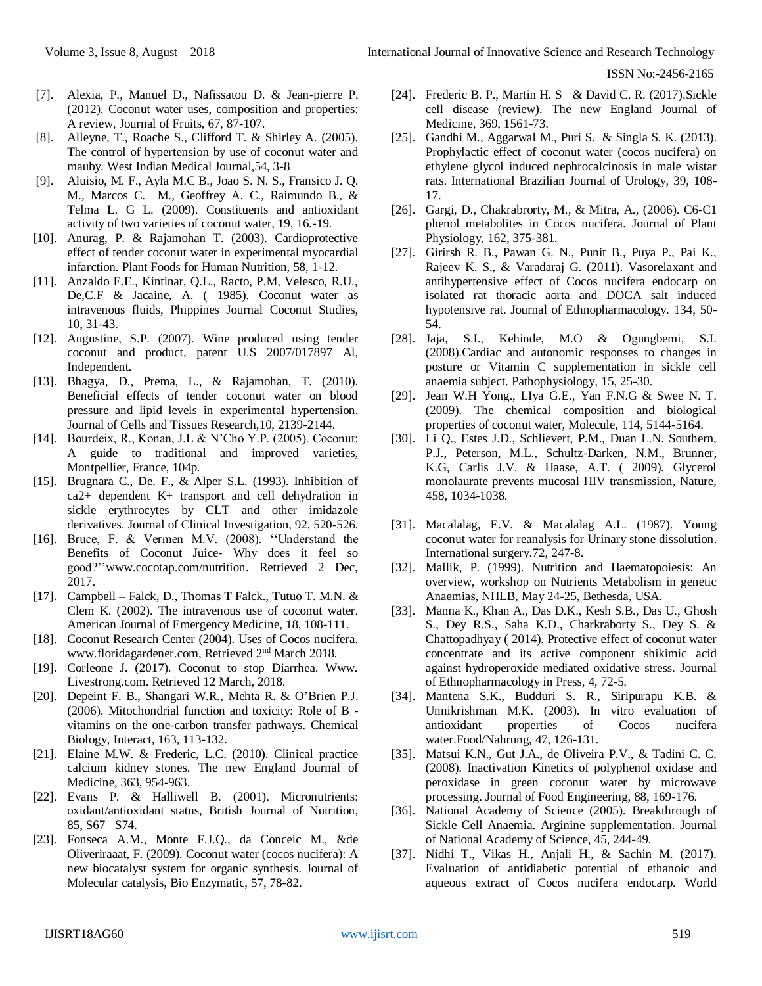- [7]. Alexia, P., Manuel D., Nafissatou D. & Jean-pierre P. (2012). Coconut water uses, composition and properties: A review, Journal of Fruits, 67, 87-107.
- [8]. Alleyne, T., Roache S., Clifford T. & Shirley A. (2005). The control of hypertension by use of coconut water and mauby. West Indian Medical Journal,54, 3-8
- [9]. Aluisio, M. F., Ayla M.C B., Joao S. N. S., Fransico J. Q. M., Marcos C. M., Geoffrey A. C., Raimundo B., & Telma L. G L. (2009). Constituents and antioxidant activity of two varieties of coconut water, 19, 16.-19.
- [10]. Anurag, P. & Rajamohan T. (2003). Cardioprotective effect of tender coconut water in experimental myocardial infarction. Plant Foods for Human Nutrition, 58, 1-12.
- [11]. Anzaldo E.E., Kintinar, Q.L., Racto, P.M, Velesco, R.U., De,C.F & Jacaine, A. ( 1985). Coconut water as intravenous fluids, Phippines Journal Coconut Studies, 10, 31-43.
- [12]. Augustine, S.P. (2007). Wine produced using tender coconut and product, patent U.S 2007/017897 Al, Independent.
- [13]. Bhagya, D., Prema, L., & Rajamohan, T. (2010). Beneficial effects of tender coconut water on blood pressure and lipid levels in experimental hypertension. Journal of Cells and Tissues Research,10, 2139-2144.
- [14]. Bourdeix, R., Konan, J.L & N'Cho Y.P. (2005). Coconut: A guide to traditional and improved varieties, Montpellier, France, 104p.
- [15]. Brugnara C., De. F., & Alper S.L. (1993). Inhibition of ca2+ dependent K+ transport and cell dehydration in sickle erythrocytes by CLT and other imidazole derivatives. Journal of Clinical Investigation, 92, 520-526.
- [16]. Bruce, F. & Vermen M.V. (2008). ''Understand the Benefits of Coconut Juice- Why does it feel so good?'['www.cocotap.com/nutrition.](http://www.cocotap.com/nutrition) Retrieved 2 Dec, 2017.
- [17]. Campbell Falck, D., Thomas T Falck., Tutuo T. M.N. & Clem K. (2002). The intravenous use of coconut water. American Journal of Emergency Medicine, 18, 108-111.
- [18]. Coconut Research Center (2004). Uses of Cocos nucifera. www.floridagardener.com, Retrieved 2nd March 2018.
- [19]. Corleone J. (2017). Coconut to stop Diarrhea. Www. Livestrong.com. Retrieved 12 March, 2018.
- [20]. Depeint F. B., Shangari W.R., Mehta R. & O'Brien P.J. (2006). Mitochondrial function and toxicity: Role of B vitamins on the one-carbon transfer pathways. Chemical Biology, Interact, 163, 113-132.
- [21]. Elaine M.W. & Frederic, L.C. (2010). Clinical practice calcium kidney stones. The new England Journal of Medicine, 363, 954-963.
- [22]. Evans P. & Halliwell B. (2001). Micronutrients: oxidant/antioxidant status, British Journal of Nutrition, 85, S67 –S74.
- [23]. Fonseca A.M., Monte F.J.Q., da Conceic M., &de Oliveriraaat, F. (2009). Coconut water (cocos nucifera): A new biocatalyst system for organic synthesis. Journal of Molecular catalysis, Bio Enzymatic, 57, 78-82.
- [24]. Frederic B. P., Martin H. S & David C. R. (2017). Sickle cell disease (review). The new England Journal of Medicine, 369, 1561-73.
- [25]. Gandhi M., Aggarwal M., Puri S. & Singla S. K. (2013). Prophylactic effect of coconut water (cocos nucifera) on ethylene glycol induced nephrocalcinosis in male wistar rats. International Brazilian Journal of Urology, 39, 108- 17.
- [26]. Gargi, D., Chakrabrorty, M., & Mitra, A., (2006). C6-C1 phenol metabolites in Cocos nucifera. Journal of Plant Physiology, 162, 375-381.
- [27]. Girirsh R. B., Pawan G. N., Punit B., Puya P., Pai K., Rajeev K. S., & Varadaraj G. (2011). Vasorelaxant and antihypertensive effect of Cocos nucifera endocarp on isolated rat thoracic aorta and DOCA salt induced hypotensive rat. Journal of Ethnopharmacology. 134, 50- 54.
- [28]. Jaja, S.I., Kehinde, M.O & Ogungbemi, S.I. (2008).Cardiac and autonomic responses to changes in posture or Vitamin C supplementation in sickle cell anaemia subject. Pathophysiology, 15, 25-30.
- [29]. Jean W.H Yong., LIya G.E., Yan F.N.G & Swee N. T. (2009). The chemical composition and biological properties of coconut water, Molecule, 114, 5144-5164.
- [30]. Li Q., Estes J.D., Schlievert, P.M., Duan L.N. Southern, P.J., Peterson, M.L., Schultz-Darken, N.M., Brunner, K.G, Carlis J.V. & Haase, A.T. ( 2009). Glycerol monolaurate prevents mucosal HIV transmission, Nature, 458, 1034-1038.
- [31]. Macalalag, E.V. & Macalalag A.L. (1987). Young coconut water for reanalysis for Urinary stone dissolution. International surgery.72, 247-8.
- [32]. Mallik, P. (1999). Nutrition and Haematopoiesis: An overview, workshop on Nutrients Metabolism in genetic Anaemias, NHLB, May 24-25, Bethesda, USA.
- [33]. Manna K., Khan A., Das D.K., Kesh S.B., Das U., Ghosh S., Dey R.S., Saha K.D., Charkraborty S., Dey S. & Chattopadhyay ( 2014). Protective effect of coconut water concentrate and its active component shikimic acid against hydroperoxide mediated oxidative stress. Journal of Ethnopharmacology in Press, 4, 72-5.
- [34]. Mantena S.K., Budduri S. R., Siripurapu K.B. & Unnikrishman M.K. (2003). In vitro evaluation of antioxidant properties of Cocos nucifera water.Food/Nahrung, 47, 126-131.
- [35]. Matsui K.N., Gut J.A., de Oliveira P.V., & Tadini C. C. (2008). Inactivation Kinetics of polyphenol oxidase and peroxidase in green coconut water by microwave processing. Journal of Food Engineering, 88, 169-176.
- [36]. National Academy of Science (2005). Breakthrough of Sickle Cell Anaemia. Arginine supplementation. Journal of National Academy of Science, 45, 244-49.
- [37]. Nidhi T., Vikas H., Anjali H., & Sachin M. (2017). Evaluation of antidiabetic potential of ethanoic and aqueous extract of Cocos nucifera endocarp. World